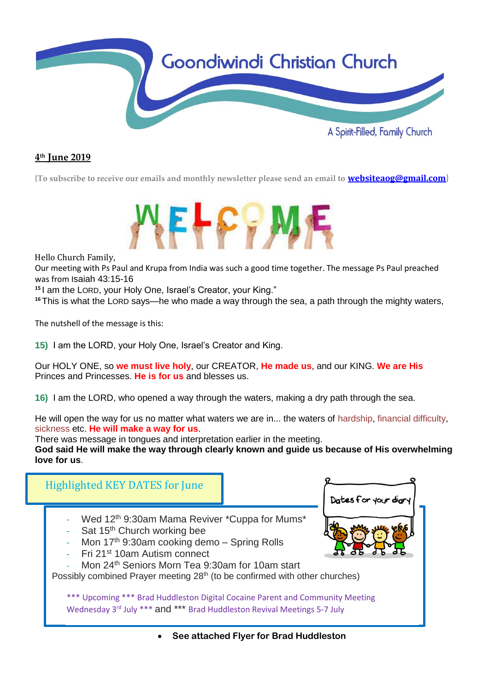

#### **4 th June 2019**

**{To subscribe to receive our emails and monthly newsletter please send an email to [websiteaog@gmail.com](mailto:websiteaog@gmail.com)}**



Hello Church Family,

Our meeting with Ps Paul and Krupa from India was such a good time together. The message Ps Paul preached was from Isaiah 43:15-16

**<sup>15</sup>** I am the LORD, your Holy One, Israel's Creator, your King."

<sup>16</sup>This is what the LORD says—he who made a way through the sea, a path through the mighty waters,

The nutshell of the message is this:

**15)** I am the LORD, your Holy One, Israel's Creator and King.

Our HOLY ONE, so **we must live holy**, our CREATOR, **He made us**, and our KING. **We are His** Princes and Princesses. **He is for us** and blesses us.

**16)** I am the LORD, who opened a way through the waters, making a dry path through the sea.

He will open the way for us no matter what waters we are in... the waters of hardship, financial difficulty, sickness etc. **He will make a way for us**.

There was message in tongues and interpretation earlier in the meeting.

**God said He will make the way through clearly known and guide us because of His overwhelming love for us**.

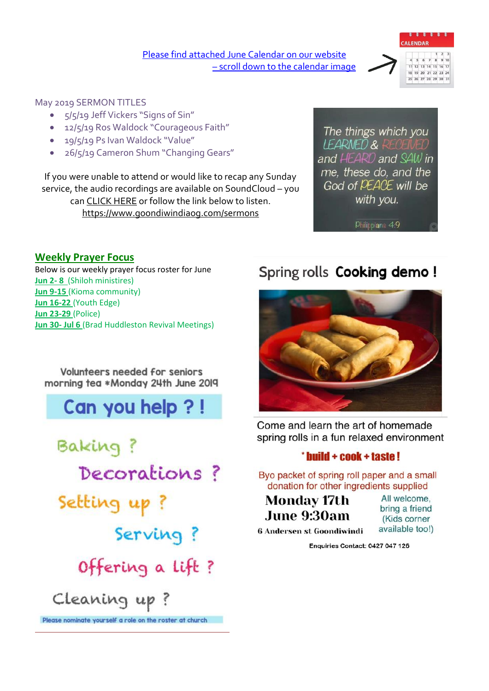[Please find attached June](https://www.goondiwindiaog.com/) Calendar on our website – scroll down to the calendar image



#### May 2019 SERMON TITLES

- 5/5/19 Jeff Vickers "Signs of Sin"
- 12/5/19 Ros Waldock "Courageous Faith"
- 19/5/19 Ps Ivan Waldock "Value"
- 26/5/19 Cameron Shum "Changing Gears"

If you were unable to attend or would like to recap any Sunday service, the audio recordings are available on SoundCloud – you ca[n CLICK HERE](https://soundcloud.com/goondiwindi-aog) or follow the link below to listen. <https://www.goondiwindiaog.com/sermons>

The things which you IFARNED & and HEARD and SAW in me, these do, and the God of PEACE will be with you.

Philippians 4:9

#### **Weekly Prayer Focus**

Below is our weekly prayer focus roster for June **Jun 2- 8** (Shiloh ministires) **Jun 9-15** (Kioma community) **Jun 16-22** (Youth Edge) **Jun 23-29** (Police) **Jun 30- Jul 6** (Brad Huddleston Revival Meetings)

Volunteers needed for seniors morning tea \*Monday 24th June 2019

## Can you help ?!

Baking? Decorations? Setting up? Serving? Offering a lift? Cleaning up? Please nominate yourself a role on the roster at church

### Spring rolls Cooking demo!



Come and learn the art of homemade spring rolls in a fun relaxed environment

#### \* build + cook + taste!

Byo packet of spring roll paper and a small donation for other ingredients supplied

**Monday 17th** June 9:30am

All welcome, bring a friend (Kids corner available too!)

**6 Andersen st Goondiwindi** 

Enquiries Contact: 0427 047 126